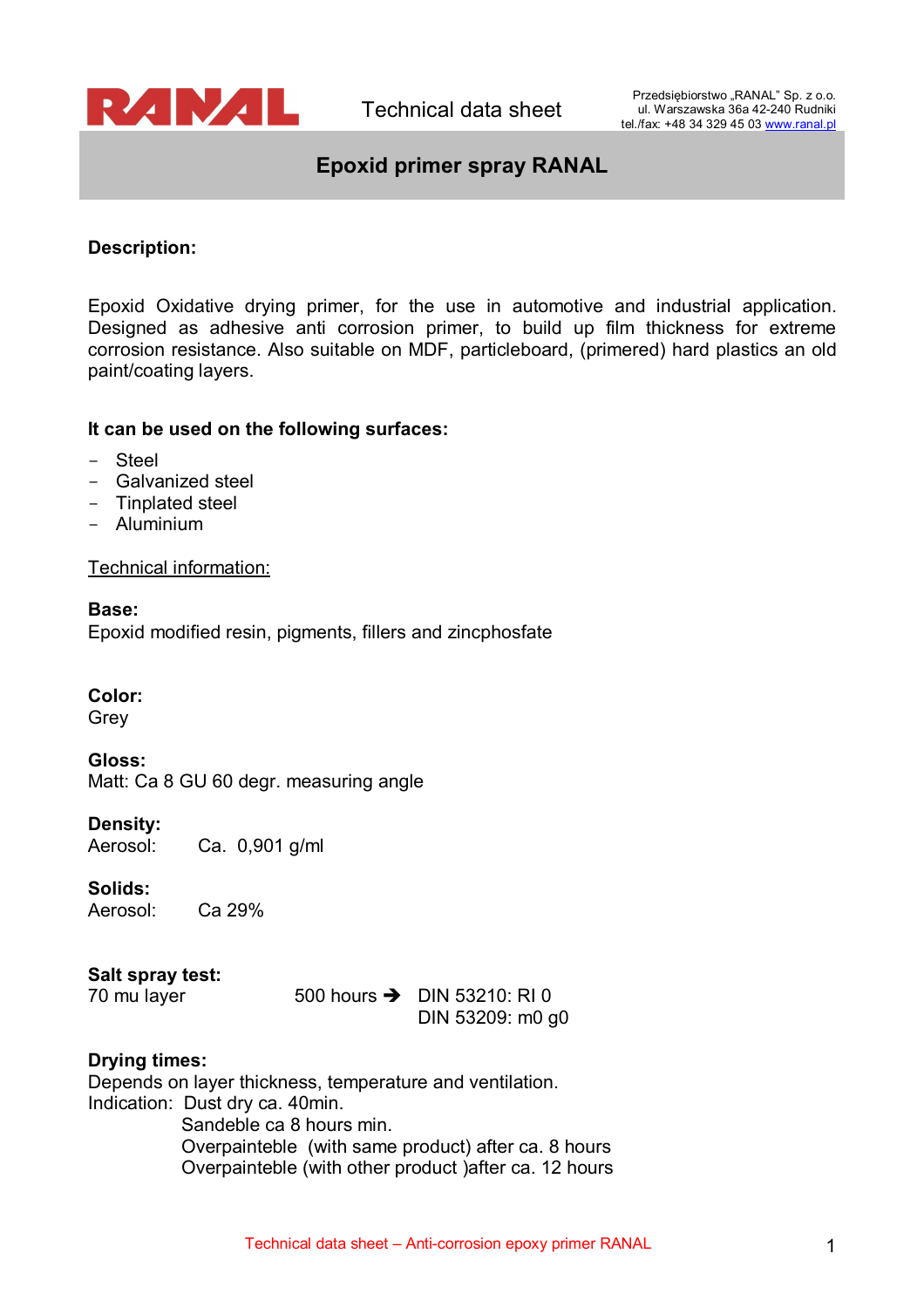

# **Epoxid primer spray RANAL**

# **Description:**

Epoxid Oxidative drying primer, for the use in automotive and industrial application. Designed as adhesive anti corrosion primer, to build up film thickness for extreme corrosion resistance. Also suitable on MDF, particleboard, (primered) hard plastics an old paint/coating layers.

## **It can be used on the following surfaces:**

- Steel
- Galvanized steel
- Tinplated steel
- Aluminium

Technical information:

**Base:** Epoxid modified resin, pigments, fillers and zincphosfate

## **Color:**

Grey

**Gloss:** Matt: Ca 8 GU 60 degr. measuring angle

## **Density:**

Aerosol: Ca. 0,901 g/ml

## **Solids:**

Aerosol: Ca 29%

## **Salt spray test:**

70 mu layer  $500$  hours  $\rightarrow$  DIN 53210: RI 0 DIN 53209: m0 g0

## **Drying times:**

Depends on layer thickness, temperature and ventilation. Indication: Dust dry ca. 40min. Sandeble ca 8 hours min. Overpainteble (with same product) after ca. 8 hours Overpainteble (with other product )after ca. 12 hours